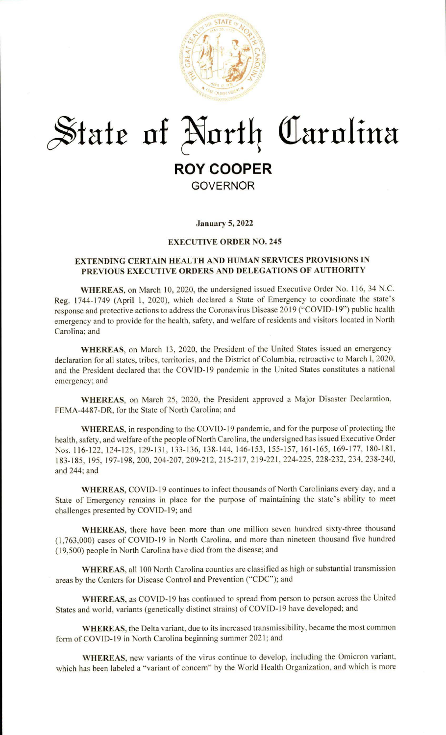

# $\frac{1}{2}$  State of North Carolina **ROY COOPER GOVERNOR**

**January 5, 2022** 

# **EXECUTIVE ORDER NO. 245**

# **EXTENDING CERTAIN HEALTH AND HUMAN SERVICES PROVISIONS IN PREVIOUS EXECUTIVE ORDERS AND DELEGATIONS OF AUTHORITY**

**WHEREAS,** on March 10, 2020, the undersigned issued Executive Order No. I 16, 34 N.C. Reg. 1744-1749 (April 1, 2020), which declared a State of Emergency to coordinate the state's response and protective actions to address the Coronavirus Disease 2019 ("COVID-19") public health emergency and to provide for the health, safety, and welfare of residents and visitors located in North Carolina; and

**WHEREAS,** on March 13, 2020, the President of the United States issued an emergency declaration for all states, tribes, territories, and the District of Columbia, retroactive to March I, 2020, and the President declared that the COVID-19 pandemic in the United States constitutes a national emergency; and

WHEREAS, on March 25, 2020, the President approved a Major Disaster Declaration, FEMA-4487-DR, for the State of North Carolina; and

**WHEREAS,** in responding to the COVID-19 pandemic, and for the purpose of protecting the health, safety, and welfare of the people of North Carolina, the undersigned has issued Executive Order Nos. 116-122, 124-125, 129-131, 133-136, 138-144, 146-153, 155-157, 161-165, 169-177, 180-181, 183-185, 195, 197-198, 200, 204-207, 209-212, 2 15-217, 219-221, 224-225, 228-232, 234, 238-240, and 244; and

WHEREAS, COVID-19 continues to infect thousands of North Carolinians every day, and a State of Emergency remains in place for the purpose of maintaining the state 's ability to meet challenges presented by COVID-19; and

**WHEREAS,** there have been more than one million seven hundred sixty-three thousand (1,763,000) cases of COVID-19 in North Carolina, and more than nineteen thousand five hundred ( 19,500) people in North Carolina have died from the disease; and

WHEREAS, all 100 North Carolina counties are classified as high or substantial transmission areas by the Centers for Disease Control and Prevention ("CDC"); and

**WHEREAS,** as COVID-19 has continued to spread from person to person across the United States and world, variants (genetically distinct strains) of COVID- 19 have developed; and

**WHEREAS,** the Delta variant, due to its increased transmissibility, became the most common form of COVID-19 in North Carolina beginning summer 2021; and

**WHEREAS,** new variants of the virus continue to develop, including the Omicron variant, which has been labeled a "variant of concern" by the World Health Organization, and which is more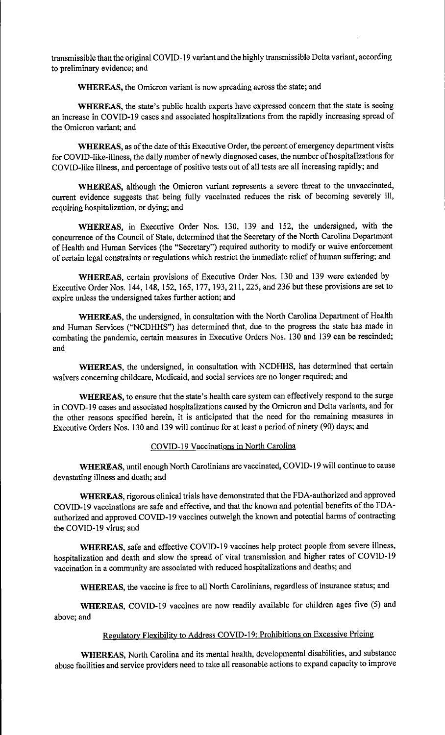transmissible than the original COVID-19 variant and the highly transmissible Delta variant, according to preliminary evidence; and

**WHEREAS,** the Omicron variant is now spreading across the state; and

**WHEREAS,** the state's public health experts have expressed concern that the state is seeing an increase in COVID-19 cases and associated hospitalizations from the rapidly increasing spread of the Omicron variant; and

WHEREAS, as of the date of this Executive Order, the percent of emergency department visits for COVID-like-illness, the daily number of newly diagnosed cases, the number of hospitalizations for COVID-like illness, and percentage of positive tests out of all tests are all increasing rapidly; and

**WHEREAS,** although the Omicron variant represents a severe threat to the unvaccinated, current evidence suggests that being fully vaccinated reduces the risk of becoming severely ill, requiring hospitalization, or dying; and

**WHEREAS,** in Executive Order Nos. 130, 139 and 152, the undersigned, with the concurrence of the Council of State, determined that the Secretary of the North Carolina Department of Health and Human Services (the "Secretary") required authority to modify or waive enforcement of certain legal constraints or regulations which restrict the immediate relief of human suffering; and

**WHEREAS,** certain provisions of Executive Order Nos. 130 and 139 were extended by Executive Order Nos. 144, 148, 152, 165, 177, 193, 211, 225, and 236 but these provisions are set to expire unless the undersigned takes further action; and

**WHEREAS,** the undersigned, in consultation with the North Carolina Department of Health and Human Services ("NCDHHS") has determined that, due to the progress the state has made in combating the pandemic, certain measures in Executive Orders Nos. 130 and 139 can be rescinded; and

**WHEREAS,** the undersigned, in consultation with NCDHHS, has determined that certain waivers concerning childcare, Medicaid, and social services are no longer required; and

**WHEREAS,** to ensure that the state's health care system can effectively respond to the surge in COVD-19 cases and associated hospitalizations caused by the Omicron and Delta variants, and for the other reasons specified herein, it is anticipated that the need for the remaining measures in Executive Orders Nos. 130 and 139 will continue for at least a period of ninety (90) days; and

# COVID-19 Vaccinations in North Carolina

**WHEREAS,** until enough North Carolinians are vaccinated, COVID-19 will continue to cause devastating illness and death; and

**WHEREAS,** rigorous clinical trials have demonstrated that the FDA-authorized and approved COVID-19 vaccinations are safe and effective, and that the known and potential benefits of the FDAauthorized and approved COVID-19 vaccines outweigh the known and potential harms of contracting the COVID-19 virus; and

**WHEREAS,** safe and effective COVID-19 vaccines help protect people from severe illness, hospitalization and death and slow the spread of viral transmission and higher rates of COVID-19 vaccination in a community are associated with reduced hospitalizations and deaths; and

**WHEREAS,** the vaccine is free to all North Carolinians, regardless of insurance status; and

**WHEREAS,** COVID-19 vaccines are now readily available for children ages five (5) and above;and

# Regulatory Flexibility to Address COVID-19: Prohibitions on Excessive Pricing

**WHEREAS,** North Carolina and its mental health, developmental disabilities, and substance abuse facilities and service providers need to take all reasonable actions to expand capacity to improve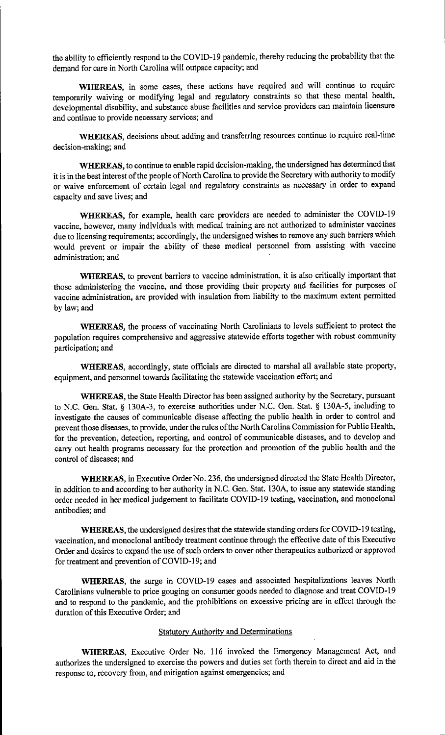the ability to efficiently respond to the COVID-19 pandemic, thereby reducing the probability that the demand for care in North Carolina will outpace capacity; and

**WHEREAS,** in some cases, these actions have required and will continue to require temporarily waiving or modifying legal and regulatory constraints so that these mental health, developmental disability, and substance abuse facilities and service providers can maintain licensure and continue to provide necessary services; and

**WHEREAS,** decisions about adding and transferring resources continue to require real-time decision-making; and

**WHEREAS,** to continue to enable rapid decision-making, the undersigned has determined that it is in the best interest of the people of North Carolina to provide the Secretary with authority to modify or waive enforcement of certain legal and regulatory constraints as necessary in order to expand capacity and save lives; and

**WHEREAS,** for example, health care providers are needed to administer the COVID-19 vaccine, however, many individuals with medical training are not authorized to administer vaccines due to licensing requirements; accordingly, the undersigned wishes to remove any such barriers which would prevent or impair the ability of these medical personnel from assisting with vaccine administration; and

**WHEREAS,** to prevent barriers to vaccine administration, it is also critically important that those administering the vaccine, and those providing their property and facilities for purposes of vaccine administration, are provided with insulation from liability to the maximum extent permitted by law; and

**WHEREAS,** the process of vaccinating North Carolinians to levels sufficient to protect the population requires comprehensive and aggressive statewide efforts together with robust community participation; and

**WHEREAS,** accordingly, state officials are directed to marshal all available state property, equipment, and personnel towards facilitating the statewide vaccination effort; and

**WHEREAS,** the State Health Director has been assigned authority by the Secretary, pursuant to N.C. Gen. Stat. § 130A-3, to exercise authorities under N.C. Gen. Stat. § 130A-5, including to investigate the causes of communicable disease affecting the public health in order to control and prevent those diseases, to provide, under the rules of the North Carolina Commission for Public Health, for the prevention, detection, reporting, and control of communicable diseases, and to develop and carry out health programs necessary for the protection and promotion of the public health and the control of diseases; and

**WHEREAS,** in Executive Order No. 236, the undersigned directed the State Health Director, in addition to and according to her authority in N.C. Gen. Stat. 130A, to issue any statewide standing order needed in her medical judgement to facilitate COVID-19 testing, vaccination, and monoclonal antibodies; and

**WHEREAS,** the undersigned desires that the statewide standing orders for COVID-19 testing, vaccination, and monoclonal antibody treatment continue through the effective date of this Executive Order and desires to expand the use of such orders to cover other therapeutics authorized or approved for treatment and prevention of COVID-19; and

**WHEREAS,** the surge in COVID-19 cases and associated hospitalizations leaves North Carolinians vulnerable to price gouging on consumer goods needed to diagnose and treat COVID-I 9 and to respond to the pandemic, and the prohibitions on excessive pricing are in effect through the duration of this Executive Order; and

# Statutory Authority and Determinations

**WHEREAS,** Executive Order No. 116 invoked the Emergency Management Act, and authorizes the undersigned to exercise the powers and duties set forth therein to direct and aid in the response to, recovery from, and mitigation against emergencies; and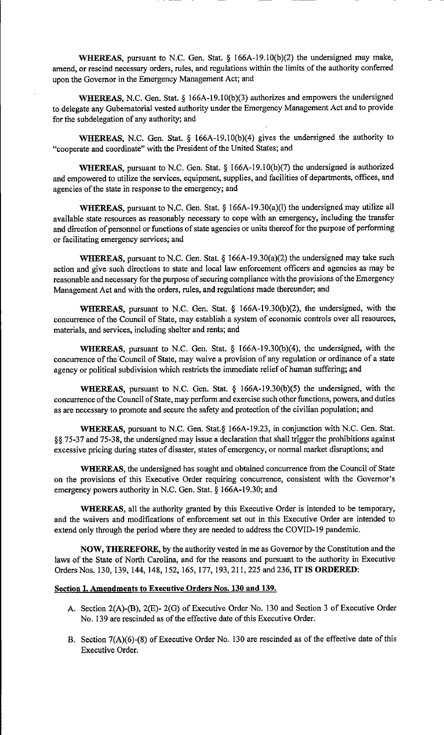**WHEREAS,** pursuant to N.C. Gen. Stat. § 166A-19.I0(b)(2) the undersigned may make, amend, or rescind necessary orders, rules, and regulations within the limits of the authority conferred upon the Governor in the Emergency Management Act; and

**WHEREAS,** N.C. Gen. Stat.§ 166A-19.I0(b)(3) authorizes and empowers the undersigned to delegate any Gubernatorial vested authority under the Emergency Management Act and to provide for the subdelegation of any authority; and

**WHEREAS,** N.C. Gen. Stat. § 166A-19.I0(b)(4) gives the undersigned the authority to "cooperate and coordinate" with the President of the United States; and

**WHEREAS,** pursuant to N.C. Gen. Stat.§ 166A-19.I0(b)(7) the undersigned is authorized and empowered to utilize the services, equipment, supplies, and facilities of departments, offices, and agencies of the state in response to the emergency; and

**WHEREAS,** pursuant to N.C. Gen. Stat. § 166A-19.30(a)(l) the undersigned may utilize all available state resources as reasonably necessary to cope with an emergency, including the transfer and direction of personnel or functions of state agencies or units thereof for the purpose of performing or facilitating emergency services; and

**WHEREAS, pursuant to N.C. Gen. Stat. § 166A-19.30(a)(2) the undersigned may take such** action and give such directions to state and local law enforcement officers and agencies as may be reasonable and necessary for the purpose of securing compliance with the provisions of the Emergency Management Act and with the orders, rules, and regulations made thereunder; and

**WHEREAS,** pursuant to N.C. Gen. Stat. § 166A-19.30(b)(2), the undersigned, with the concurrence of the Council of State, may establish a system of economic controls over all resources, materials, and services, including shelter and rents; and

**WHEREAS,** pursuant to N.C. Gen. Stat. § 166A-19.30(b)(4), the undersigned, with the concurrence of the Council of State, may waive a provision of any regulation or ordinance of a state agency or political subdivision which restricts the immediate relief of human suffering; and

**WHEREAS,** pursuant to N.C. Gen. Stat. § 166A-19.30(b)(5) the undersigned, with the concurrence of the Council of State, may perform and exercise such other functions, powers, and duties as are necessary to promote and secure the safety and protection of the civilian population; and

**WHEREAS,** pursuant to N.C. Gen. Stat.§ [166A-19.23,](https://166A-19.23) in conjunction with N.C. Gen. Stat. §§ 75-37 and 75-38, the undersigned may issue a declaration that shall trigger the prohibitions against excessive pricing during states of disaster, states of emergency, or normal market disruptions; and

**WHEREAS,** the undersigned has sought and obtained concurrence from the Council of State on the provisions of this Executive Order requiring concurrence, consistent with the Governor's emergency powers authority in N.C. Gen. Stat. § 166A-19.30; and

**WHEREAS,** all the authority granted by this Executive Order is intended to be temporary, and the waivers and modifications of enforcement set out in this Executive Order are intended to extend only through the period where they are needed to address the COVID-19 pandemic.

**NOW, THEREFORE,** by the authority vested in me as Governor by the Constitution and the laws of the State of North Carolina, and for the reasons and pursuant to the authority in Executive Orders Nos. 130, 139, 144, 148, 152, 165, 177, 193, 211, 225 and 236, IT IS ORDERED:

#### **Section** I. **Amendments to Executive Orders Nos. 130 and 139.**

- A. Section 2(A)-(B), 2(E)- 2(G) of Executive Order No. 130 and Section 3 of Executive Order No. 139 are rescinded as of the effective date of this Executive Order.
- B. Section 7(A)(6)-(8) of Executive Order No. 130 are rescinded as of the effective date of this Executive Order.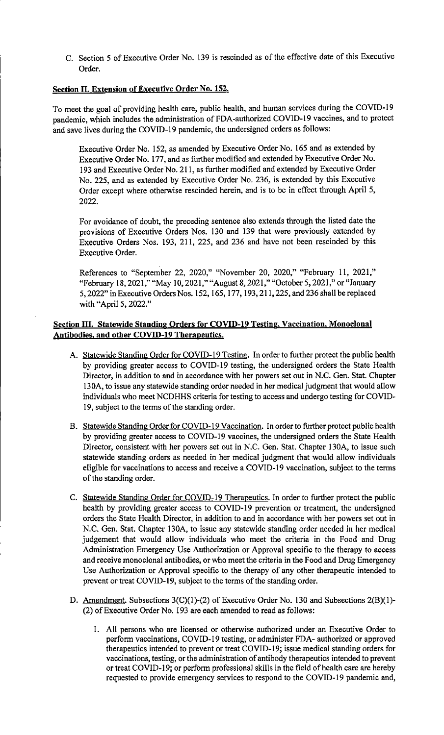C. Section 5 of Executive Order No. 139 is rescinded as of the effective date of this Executive Order.

# **Section II. Extension of Executive Order No. 152.**

To meet the goal of providing health care, public health, and human services during the COVID-19 pandemic, which includes the administration of FDA-authorized COVID-19 vaccines, and to protect and save lives during the COVID-19 pandemic, the undersigned orders as follows:

Executive Order No. 152, as amended by Executive Order No. 165 and as extended by Executive Order No. 177, and as further modified and extended by Executive Order No. 193 and Executive Order No. 211, as further modified and extended by Executive Order No. 225, and as extended by Executive Order No. 236, is extended by this Executive Order except where otherwise rescinded herein, and is to be in effect through April 5, 2022.

For avoidance of doubt, the preceding sentence also extends through the listed date the provisions of Executive Orders Nos. 130 and 139 that were previously extended by Executive Orders Nos. 193, 211, 225, and 236 and have not been rescinded by this Executive Order.

References to "September 22, 2020," "November 20, 2020," "February 11, 2021," "February 18, 2021," "May 10, 2021," "August 8, 2021," "October 5, 2021," or "January 5, 2022" in Executive Orders Nos. 152, 165, 177, 193, 211, 225, and 236 shall be replaced with "April 5, 2022."

# **Section III. Statewide Standing Orders for COVID-19 Testing. Vaccination, Monoclonal Antibodies. and other COVID-19 Therapeutics.**

- A. Statewide Standing Order for COVID-19 Testing. In order to further protect the public health by providing greater access to COVID-19 testing, the undersigned orders the State Health Director, in addition to and in accordance with her powers set out in N.C. Gen. Stat. Chapter 130A, to issue any statewide standing order needed in her medical judgment that would allow individuals who meet NCDHHS criteria for testing to access and undergo testing for COVID-19, subject to the terms of the standing order.
- B. Statewide Standing Order for COVID-19 Vaccination. In order to further protect public health by providing greater access to COVID-19 vaccines, the undersigned orders the State Health Director, consistent with her powers set out in N.C. Gen. Stat. Chapter 130A, to issue such statewide standing orders as needed in her medical judgment that would allow individuals eligible for vaccinations to access and receive a COVID-19 vaccination, subject to the terms of the standing order.
- C. Statewide Standing Order for COVID-19 Therapeutics. In order to further protect the public health by providing greater access to COVID-19 prevention or treatment, the undersigned orders the State Health Director, in addition to and in accordance with her powers set out in N.C. Gen. Stat. Chapter 130A, to issue any statewide standing order needed in her medical judgement that would allow individuals who meet the criteria in the Food and Drug Administration Emergency Use Authorization or Approval specific to the therapy to access and receive monoclonal antibodies, or who meet the criteria in the Food and Drug Emergency Use Authorization or Approval specific to the therapy of any other therapeutic intended to prevent or treat COVID-19, subject to the terms of the standing order.
- D. Amendment. Subsections 3(C)(1)-(2) of Executive Order No. 130 and Subsections 2(B)(1)-(2) of Executive Order No. 193 are each amended to read as follows:
	- I. All persons who are licensed or otherwise authorized under an Executive Order to perform vaccinations, COVID-19 testing, or administer FDA- authorized or approved therapeutics intended to prevent or treat COVID-19; issue medical standing orders for vaccinations, testing, or the administration of antibody therapeutics intended to prevent or treat COVID-19; or perform professional skills in the field of health care are hereby requested to provide emergency services to respond to the COVID-19 pandemic and,